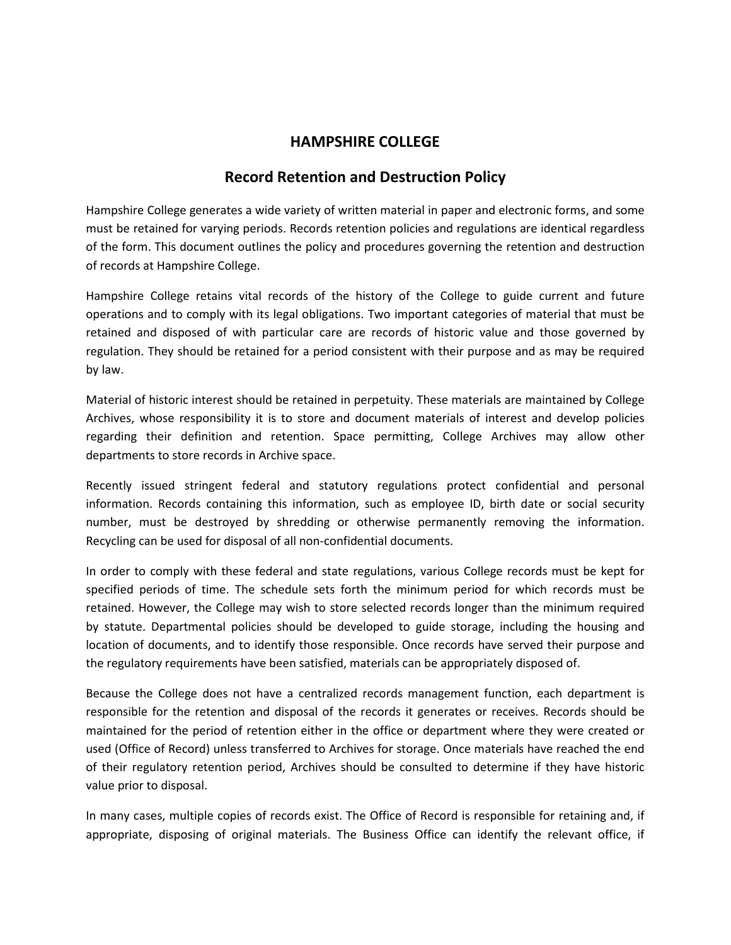## **HAMPSHIRE COLLEGE**

## **Record Retention and Destruction Policy**

Hampshire College generates a wide variety of written material in paper and electronic forms, and some must be retained for varying periods. Records retention policies and regulations are identical regardless of the form. This document outlines the policy and procedures governing the retention and destruction of records at Hampshire College.

Hampshire College retains vital records of the history of the College to guide current and future operations and to comply with its legal obligations. Two important categories of material that must be retained and disposed of with particular care are records of historic value and those governed by regulation. They should be retained for a period consistent with their purpose and as may be required by law.

Material of historic interest should be retained in perpetuity. These materials are maintained by College Archives, whose responsibility it is to store and document materials of interest and develop policies regarding their definition and retention. Space permitting, College Archives may allow other departments to store records in Archive space.

Recently issued stringent federal and statutory regulations protect confidential and personal information. Records containing this information, such as employee ID, birth date or social security number, must be destroyed by shredding or otherwise permanently removing the information. Recycling can be used for disposal of all non-confidential documents.

In order to comply with these federal and state regulations, various College records must be kept for specified periods of time. The schedule sets forth the minimum period for which records must be retained. However, the College may wish to store selected records longer than the minimum required by statute. Departmental policies should be developed to guide storage, including the housing and location of documents, and to identify those responsible. Once records have served their purpose and the regulatory requirements have been satisfied, materials can be appropriately disposed of.

Because the College does not have a centralized records management function, each department is responsible for the retention and disposal of the records it generates or receives. Records should be maintained for the period of retention either in the office or department where they were created or used (Office of Record) unless transferred to Archives for storage. Once materials have reached the end of their regulatory retention period, Archives should be consulted to determine if they have historic value prior to disposal.

In many cases, multiple copies of records exist. The Office of Record is responsible for retaining and, if appropriate, disposing of original materials. The Business Office can identify the relevant office, if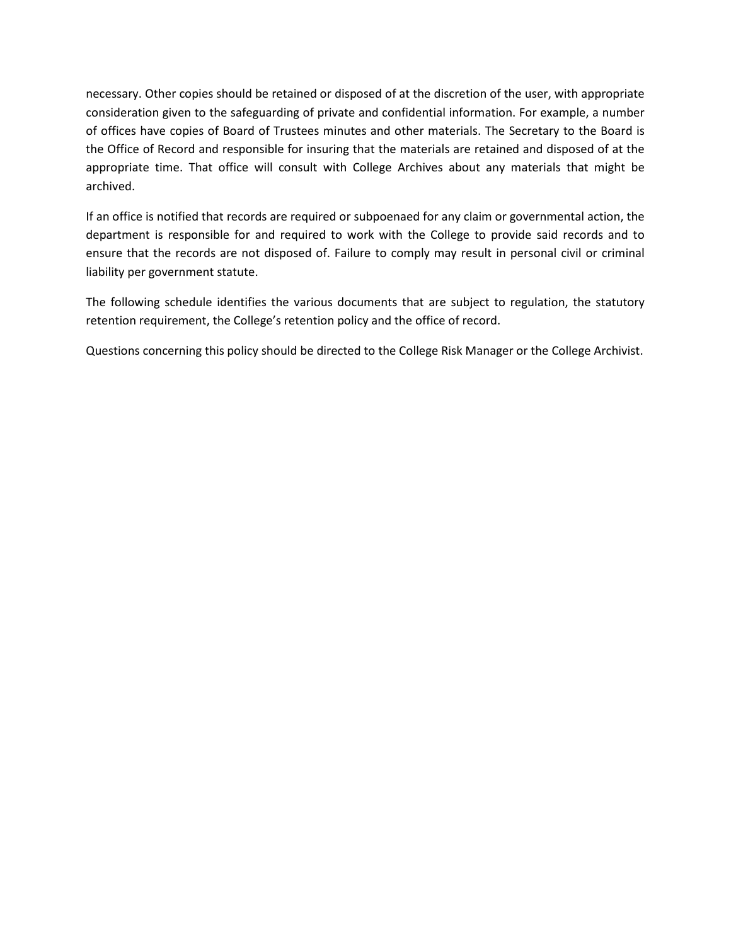necessary. Other copies should be retained or disposed of at the discretion of the user, with appropriate consideration given to the safeguarding of private and confidential information. For example, a number of offices have copies of Board of Trustees minutes and other materials. The Secretary to the Board is the Office of Record and responsible for insuring that the materials are retained and disposed of at the appropriate time. That office will consult with College Archives about any materials that might be archived.

If an office is notified that records are required or subpoenaed for any claim or governmental action, the department is responsible for and required to work with the College to provide said records and to ensure that the records are not disposed of. Failure to comply may result in personal civil or criminal liability per government statute.

The following schedule identifies the various documents that are subject to regulation, the statutory retention requirement, the College's retention policy and the office of record.

Questions concerning this policy should be directed to the College Risk Manager or the College Archivist.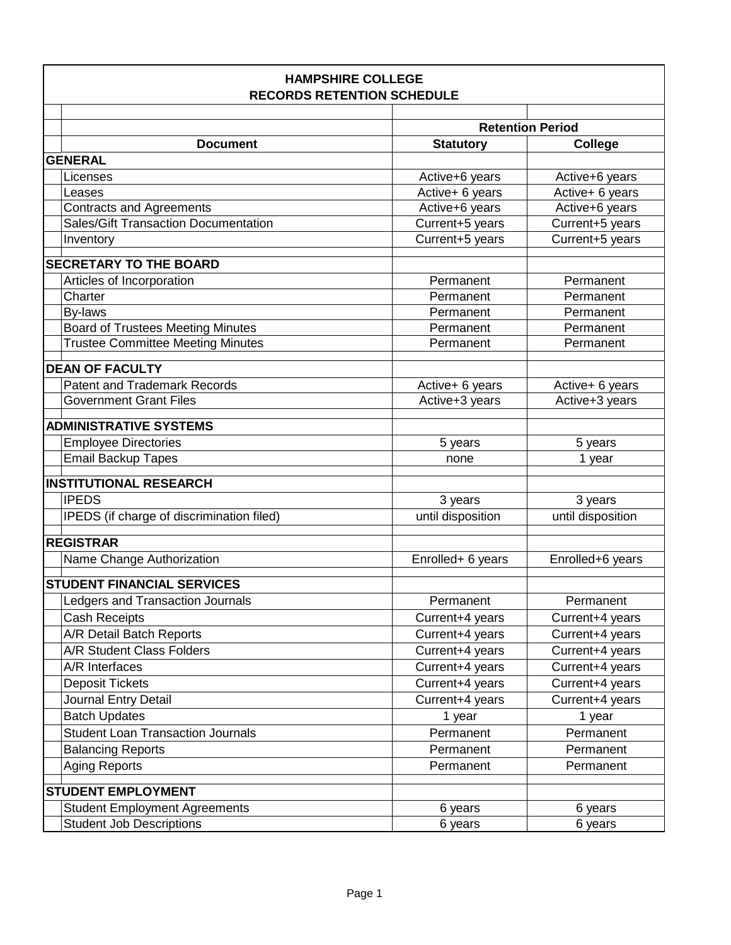| <b>HAMPSHIRE COLLEGE</b><br><b>RECORDS RETENTION SCHEDULE</b> |                         |                   |  |
|---------------------------------------------------------------|-------------------------|-------------------|--|
|                                                               |                         |                   |  |
|                                                               | <b>Retention Period</b> |                   |  |
| <b>Document</b>                                               | <b>Statutory</b>        | <b>College</b>    |  |
| <b>GENERAL</b>                                                |                         |                   |  |
| Licenses                                                      | Active+6 years          | Active+6 years    |  |
| Leases                                                        | Active+ 6 years         | Active+ 6 years   |  |
| <b>Contracts and Agreements</b>                               | Active+6 years          | Active+6 years    |  |
| <b>Sales/Gift Transaction Documentation</b>                   | Current+5 years         | Current+5 years   |  |
| Inventory                                                     | Current+5 years         | Current+5 years   |  |
| <b>SECRETARY TO THE BOARD</b>                                 |                         |                   |  |
| Articles of Incorporation                                     | Permanent               | Permanent         |  |
| Charter                                                       | Permanent               | Permanent         |  |
| By-laws                                                       | Permanent               | Permanent         |  |
| <b>Board of Trustees Meeting Minutes</b>                      | Permanent               | Permanent         |  |
| <b>Trustee Committee Meeting Minutes</b>                      | Permanent               | Permanent         |  |
|                                                               |                         |                   |  |
| <b>DEAN OF FACULTY</b>                                        |                         |                   |  |
| <b>Patent and Trademark Records</b>                           | Active+ 6 years         | Active+ 6 years   |  |
| <b>Government Grant Files</b>                                 | Active+3 years          | Active+3 years    |  |
| <b>ADMINISTRATIVE SYSTEMS</b>                                 |                         |                   |  |
| <b>Employee Directories</b>                                   | 5 years                 | 5 years           |  |
| <b>Email Backup Tapes</b>                                     | none                    | 1 year            |  |
| <b>INSTITUTIONAL RESEARCH</b>                                 |                         |                   |  |
| <b>IPEDS</b>                                                  |                         |                   |  |
|                                                               | 3 years                 | 3 years           |  |
| IPEDS (if charge of discrimination filed)                     | until disposition       | until disposition |  |
| <b>REGISTRAR</b>                                              |                         |                   |  |
| Name Change Authorization                                     | Enrolled+ 6 years       | Enrolled+6 years  |  |
| <b>STUDENT FINANCIAL SERVICES</b>                             |                         |                   |  |
|                                                               |                         |                   |  |
| Ledgers and Transaction Journals                              | Permanent               | Permanent         |  |
| Cash Receipts                                                 | Current+4 years         | Current+4 years   |  |
| A/R Detail Batch Reports                                      | Current+4 years         | Current+4 years   |  |
| A/R Student Class Folders                                     | Current+4 years         | Current+4 years   |  |
| A/R Interfaces                                                | Current+4 years         | Current+4 years   |  |
| <b>Deposit Tickets</b>                                        | Current+4 years         | Current+4 years   |  |
| Journal Entry Detail                                          | Current+4 years         | Current+4 years   |  |
| <b>Batch Updates</b>                                          | 1 year                  | 1 year            |  |
| <b>Student Loan Transaction Journals</b>                      | Permanent               | Permanent         |  |
| <b>Balancing Reports</b>                                      | Permanent               | Permanent         |  |
| <b>Aging Reports</b>                                          | Permanent               | Permanent         |  |
| <b>STUDENT EMPLOYMENT</b>                                     |                         |                   |  |
| <b>Student Employment Agreements</b>                          | 6 years                 | 6 years           |  |
| <b>Student Job Descriptions</b>                               | 6 years                 | 6 years           |  |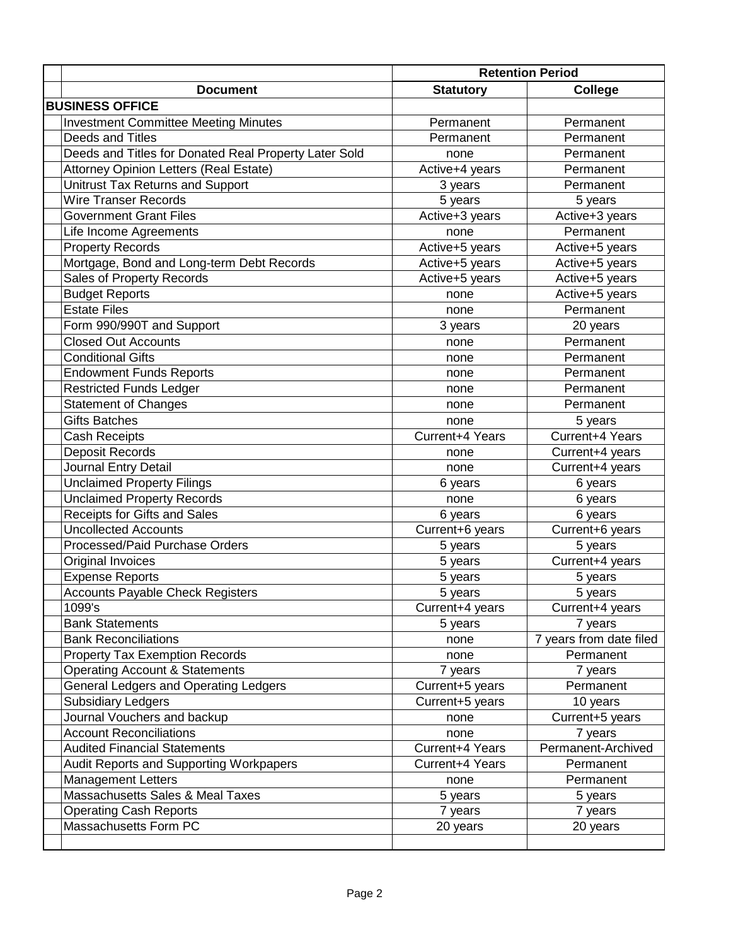|                                                       |                  | <b>Retention Period</b> |  |
|-------------------------------------------------------|------------------|-------------------------|--|
| <b>Document</b>                                       | <b>Statutory</b> | <b>College</b>          |  |
| <b>BUSINESS OFFICE</b>                                |                  |                         |  |
| <b>Investment Committee Meeting Minutes</b>           | Permanent        | Permanent               |  |
| Deeds and Titles                                      | Permanent        | Permanent               |  |
| Deeds and Titles for Donated Real Property Later Sold | none             | Permanent               |  |
| Attorney Opinion Letters (Real Estate)                | Active+4 years   | Permanent               |  |
| Unitrust Tax Returns and Support                      | 3 years          | Permanent               |  |
| <b>Wire Transer Records</b>                           | 5 years          | 5 years                 |  |
| <b>Government Grant Files</b>                         | Active+3 years   | Active+3 years          |  |
| Life Income Agreements                                | none             | Permanent               |  |
| <b>Property Records</b>                               | Active+5 years   | Active+5 years          |  |
| Mortgage, Bond and Long-term Debt Records             | Active+5 years   | Active+5 years          |  |
| Sales of Property Records                             | Active+5 years   | Active+5 years          |  |
| <b>Budget Reports</b>                                 | none             | Active+5 years          |  |
| <b>Estate Files</b>                                   | none             | Permanent               |  |
| Form 990/990T and Support                             | 3 years          | 20 years                |  |
| <b>Closed Out Accounts</b>                            | none             | Permanent               |  |
| <b>Conditional Gifts</b>                              | none             | Permanent               |  |
| <b>Endowment Funds Reports</b>                        | none             | Permanent               |  |
| <b>Restricted Funds Ledger</b>                        | none             | Permanent               |  |
| <b>Statement of Changes</b>                           | none             | Permanent               |  |
| <b>Gifts Batches</b>                                  | none             | 5 years                 |  |
| <b>Cash Receipts</b>                                  | Current+4 Years  | Current+4 Years         |  |
| <b>Deposit Records</b>                                | none             | Current+4 years         |  |
| Journal Entry Detail                                  | none             | Current+4 years         |  |
| <b>Unclaimed Property Filings</b>                     | 6 years          | 6 years                 |  |
| <b>Unclaimed Property Records</b>                     | none             | 6 years                 |  |
| Receipts for Gifts and Sales                          | 6 years          | 6 years                 |  |
| <b>Uncollected Accounts</b>                           | Current+6 years  | Current+6 years         |  |
| Processed/Paid Purchase Orders                        | 5 years          | 5 years                 |  |
| Original Invoices                                     | 5 years          | Current+4 years         |  |
| <b>Expense Reports</b>                                | 5 years          | 5 years                 |  |
| <b>Accounts Payable Check Registers</b>               | 5 years          | 5 years                 |  |
| 1099's                                                | Current+4 years  | Current+4 years         |  |
| <b>Bank Statements</b>                                | 5 years          | 7 years                 |  |
| <b>Bank Reconciliations</b>                           | none             | 7 years from date filed |  |
| <b>Property Tax Exemption Records</b>                 | none             | Permanent               |  |
| <b>Operating Account &amp; Statements</b>             | 7 years          | 7 years                 |  |
| <b>General Ledgers and Operating Ledgers</b>          | Current+5 years  | Permanent               |  |
| <b>Subsidiary Ledgers</b>                             | Current+5 years  | 10 years                |  |
| Journal Vouchers and backup                           | none             | Current+5 years         |  |
| <b>Account Reconciliations</b>                        | none             | 7 years                 |  |
| <b>Audited Financial Statements</b>                   | Current+4 Years  | Permanent-Archived      |  |
| Audit Reports and Supporting Workpapers               | Current+4 Years  | Permanent               |  |
| <b>Management Letters</b>                             | none             | Permanent               |  |
| Massachusetts Sales & Meal Taxes                      | 5 years          | 5 years                 |  |
| <b>Operating Cash Reports</b>                         | 7 years          | 7 years                 |  |
| Massachusetts Form PC                                 | 20 years         | 20 years                |  |
|                                                       |                  |                         |  |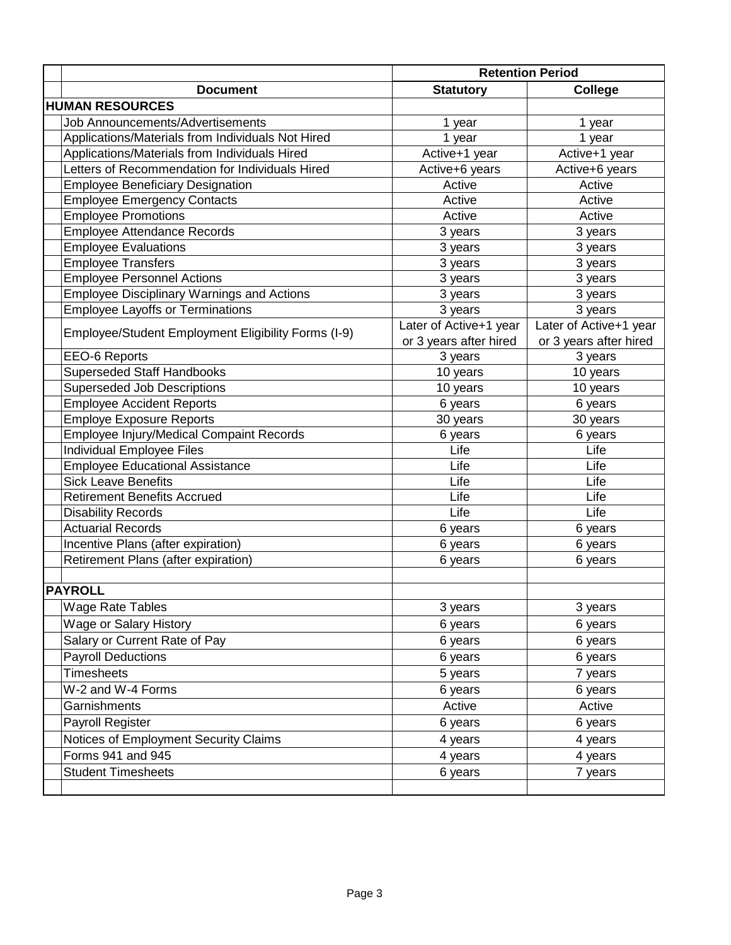|                                                     | <b>Retention Period</b> |                        |  |  |  |  |
|-----------------------------------------------------|-------------------------|------------------------|--|--|--|--|
| <b>Document</b>                                     | <b>Statutory</b>        | <b>College</b>         |  |  |  |  |
| <b>HUMAN RESOURCES</b>                              |                         |                        |  |  |  |  |
| <b>Job Announcements/Advertisements</b>             | 1 year                  | 1 year                 |  |  |  |  |
| Applications/Materials from Individuals Not Hired   | 1 year                  | 1 year                 |  |  |  |  |
| Applications/Materials from Individuals Hired       | Active+1 year           | Active+1 year          |  |  |  |  |
| Letters of Recommendation for Individuals Hired     | Active+6 years          | Active+6 years         |  |  |  |  |
| <b>Employee Beneficiary Designation</b>             | Active                  | Active                 |  |  |  |  |
| <b>Employee Emergency Contacts</b>                  | Active                  | Active                 |  |  |  |  |
| <b>Employee Promotions</b>                          | Active                  | Active                 |  |  |  |  |
| <b>Employee Attendance Records</b>                  | 3 years                 | 3 years                |  |  |  |  |
| <b>Employee Evaluations</b>                         | 3 years                 | 3 years                |  |  |  |  |
| <b>Employee Transfers</b>                           | 3 years                 | 3 years                |  |  |  |  |
| <b>Employee Personnel Actions</b>                   | 3 years                 | 3 years                |  |  |  |  |
| <b>Employee Disciplinary Warnings and Actions</b>   | 3 years                 | 3 years                |  |  |  |  |
| <b>Employee Layoffs or Terminations</b>             | 3 years                 | 3 years                |  |  |  |  |
|                                                     | Later of Active+1 year  | Later of Active+1 year |  |  |  |  |
| Employee/Student Employment Eligibility Forms (I-9) | or 3 years after hired  | or 3 years after hired |  |  |  |  |
| <b>EEO-6 Reports</b>                                | 3 years                 | 3 years                |  |  |  |  |
| <b>Superseded Staff Handbooks</b>                   | 10 years                | 10 years               |  |  |  |  |
| Superseded Job Descriptions                         | 10 years                | 10 years               |  |  |  |  |
| <b>Employee Accident Reports</b>                    | 6 years                 | 6 years                |  |  |  |  |
| <b>Employe Exposure Reports</b>                     | 30 years                | 30 years               |  |  |  |  |
| <b>Employee Injury/Medical Compaint Records</b>     | 6 years                 | 6 years                |  |  |  |  |
| Individual Employee Files                           | Life                    | Life                   |  |  |  |  |
| <b>Employee Educational Assistance</b>              | Life                    | Life                   |  |  |  |  |
| <b>Sick Leave Benefits</b>                          | Life                    | Life                   |  |  |  |  |
| <b>Retirement Benefits Accrued</b>                  | Life                    | Life                   |  |  |  |  |
| <b>Disability Records</b>                           | Life                    | Life                   |  |  |  |  |
| <b>Actuarial Records</b>                            | 6 years                 | 6 years                |  |  |  |  |
| Incentive Plans (after expiration)                  | 6 years                 | 6 years                |  |  |  |  |
| Retirement Plans (after expiration)                 | 6 years                 | 6 years                |  |  |  |  |
|                                                     |                         |                        |  |  |  |  |
| <b>PAYROLL</b>                                      |                         |                        |  |  |  |  |
| <b>Wage Rate Tables</b>                             | 3 years                 | 3 years                |  |  |  |  |
| Wage or Salary History                              | 6 years                 | 6 years                |  |  |  |  |
| Salary or Current Rate of Pay                       | 6 years                 | 6 years                |  |  |  |  |
| <b>Payroll Deductions</b>                           | 6 years                 | 6 years                |  |  |  |  |
| <b>Timesheets</b>                                   | 5 years                 | 7 years                |  |  |  |  |
| W-2 and W-4 Forms                                   | 6 years                 | 6 years                |  |  |  |  |
| Garnishments                                        | Active                  | Active                 |  |  |  |  |
| Payroll Register                                    | 6 years                 | 6 years                |  |  |  |  |
| Notices of Employment Security Claims               | 4 years                 | 4 years                |  |  |  |  |
| Forms 941 and 945                                   | 4 years                 | 4 years                |  |  |  |  |
| <b>Student Timesheets</b>                           | 6 years                 | 7 years                |  |  |  |  |
|                                                     |                         |                        |  |  |  |  |